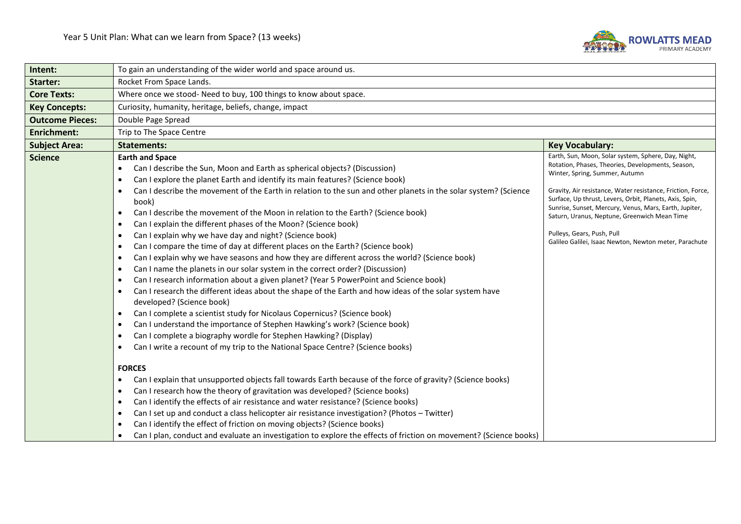

| Intent:                | To gain an understanding of the wider world and space around us.                                                                                                                                                                                                                                                                                                                                                                                                                                                                                                                                                                                                                                                                                                                                                                                                                                                                                                                                                                                                                                                                                                                                                                                                                                                                                                                                                                                                                                                                                                                                                                                                                                                                                                                                                                                                                                                                                                                                                                                                                                                            |                                                                                                                                                                                                                                                                                                                                                                                                                                                                        |  |
|------------------------|-----------------------------------------------------------------------------------------------------------------------------------------------------------------------------------------------------------------------------------------------------------------------------------------------------------------------------------------------------------------------------------------------------------------------------------------------------------------------------------------------------------------------------------------------------------------------------------------------------------------------------------------------------------------------------------------------------------------------------------------------------------------------------------------------------------------------------------------------------------------------------------------------------------------------------------------------------------------------------------------------------------------------------------------------------------------------------------------------------------------------------------------------------------------------------------------------------------------------------------------------------------------------------------------------------------------------------------------------------------------------------------------------------------------------------------------------------------------------------------------------------------------------------------------------------------------------------------------------------------------------------------------------------------------------------------------------------------------------------------------------------------------------------------------------------------------------------------------------------------------------------------------------------------------------------------------------------------------------------------------------------------------------------------------------------------------------------------------------------------------------------|------------------------------------------------------------------------------------------------------------------------------------------------------------------------------------------------------------------------------------------------------------------------------------------------------------------------------------------------------------------------------------------------------------------------------------------------------------------------|--|
| Starter:               | Rocket From Space Lands.                                                                                                                                                                                                                                                                                                                                                                                                                                                                                                                                                                                                                                                                                                                                                                                                                                                                                                                                                                                                                                                                                                                                                                                                                                                                                                                                                                                                                                                                                                                                                                                                                                                                                                                                                                                                                                                                                                                                                                                                                                                                                                    |                                                                                                                                                                                                                                                                                                                                                                                                                                                                        |  |
| <b>Core Texts:</b>     | Where once we stood- Need to buy, 100 things to know about space.                                                                                                                                                                                                                                                                                                                                                                                                                                                                                                                                                                                                                                                                                                                                                                                                                                                                                                                                                                                                                                                                                                                                                                                                                                                                                                                                                                                                                                                                                                                                                                                                                                                                                                                                                                                                                                                                                                                                                                                                                                                           |                                                                                                                                                                                                                                                                                                                                                                                                                                                                        |  |
| <b>Key Concepts:</b>   | Curiosity, humanity, heritage, beliefs, change, impact                                                                                                                                                                                                                                                                                                                                                                                                                                                                                                                                                                                                                                                                                                                                                                                                                                                                                                                                                                                                                                                                                                                                                                                                                                                                                                                                                                                                                                                                                                                                                                                                                                                                                                                                                                                                                                                                                                                                                                                                                                                                      |                                                                                                                                                                                                                                                                                                                                                                                                                                                                        |  |
| <b>Outcome Pieces:</b> | Double Page Spread                                                                                                                                                                                                                                                                                                                                                                                                                                                                                                                                                                                                                                                                                                                                                                                                                                                                                                                                                                                                                                                                                                                                                                                                                                                                                                                                                                                                                                                                                                                                                                                                                                                                                                                                                                                                                                                                                                                                                                                                                                                                                                          |                                                                                                                                                                                                                                                                                                                                                                                                                                                                        |  |
| <b>Enrichment:</b>     | Trip to The Space Centre                                                                                                                                                                                                                                                                                                                                                                                                                                                                                                                                                                                                                                                                                                                                                                                                                                                                                                                                                                                                                                                                                                                                                                                                                                                                                                                                                                                                                                                                                                                                                                                                                                                                                                                                                                                                                                                                                                                                                                                                                                                                                                    |                                                                                                                                                                                                                                                                                                                                                                                                                                                                        |  |
| <b>Subject Area:</b>   | <b>Statements:</b><br><b>Key Vocabulary:</b>                                                                                                                                                                                                                                                                                                                                                                                                                                                                                                                                                                                                                                                                                                                                                                                                                                                                                                                                                                                                                                                                                                                                                                                                                                                                                                                                                                                                                                                                                                                                                                                                                                                                                                                                                                                                                                                                                                                                                                                                                                                                                |                                                                                                                                                                                                                                                                                                                                                                                                                                                                        |  |
| <b>Science</b>         | <b>Earth and Space</b><br>Can I describe the Sun, Moon and Earth as spherical objects? (Discussion)<br>Can I explore the planet Earth and identify its main features? (Science book)<br>٠<br>Can I describe the movement of the Earth in relation to the sun and other planets in the solar system? (Science<br>٠<br>book)<br>Can I describe the movement of the Moon in relation to the Earth? (Science book)<br>٠<br>Can I explain the different phases of the Moon? (Science book)<br>$\bullet$<br>Can I explain why we have day and night? (Science book)<br>٠<br>Can I compare the time of day at different places on the Earth? (Science book)<br>$\bullet$<br>Can I explain why we have seasons and how they are different across the world? (Science book)<br>$\bullet$<br>Can I name the planets in our solar system in the correct order? (Discussion)<br>$\bullet$<br>Can I research information about a given planet? (Year 5 PowerPoint and Science book)<br>٠<br>Can I research the different ideas about the shape of the Earth and how ideas of the solar system have<br>developed? (Science book)<br>Can I complete a scientist study for Nicolaus Copernicus? (Science book)<br>٠<br>Can I understand the importance of Stephen Hawking's work? (Science book)<br>$\bullet$<br>Can I complete a biography wordle for Stephen Hawking? (Display)<br>٠<br>Can I write a recount of my trip to the National Space Centre? (Science books)<br><b>FORCES</b><br>Can I explain that unsupported objects fall towards Earth because of the force of gravity? (Science books)<br>٠<br>Can I research how the theory of gravitation was developed? (Science books)<br>$\bullet$<br>Can I identify the effects of air resistance and water resistance? (Science books)<br>٠<br>Can I set up and conduct a class helicopter air resistance investigation? (Photos - Twitter)<br>$\bullet$<br>Can I identify the effect of friction on moving objects? (Science books)<br>$\bullet$<br>Can I plan, conduct and evaluate an investigation to explore the effects of friction on movement? (Science books)<br>$\bullet$ | Earth, Sun, Moon, Solar system, Sphere, Day, Night,<br>Rotation, Phases, Theories, Developments, Season,<br>Winter, Spring, Summer, Autumn<br>Gravity, Air resistance, Water resistance, Friction, Force,<br>Surface, Up thrust, Levers, Orbit, Planets, Axis, Spin,<br>Sunrise, Sunset, Mercury, Venus, Mars, Earth, Jupiter,<br>Saturn, Uranus, Neptune, Greenwich Mean Time<br>Pulleys, Gears, Push, Pull<br>Galileo Galilei, Isaac Newton, Newton meter, Parachute |  |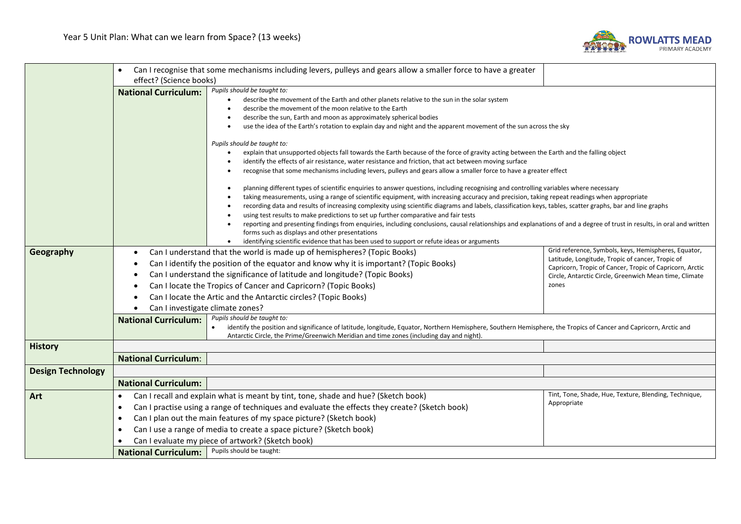

|                          |                                                                                                                                                                                 | Can I recognise that some mechanisms including levers, pulleys and gears allow a smaller force to have a greater                                                                                                                                                                                                                                                                                                                                                                                                                                                                                                                                                                  |                                                       |  |
|--------------------------|---------------------------------------------------------------------------------------------------------------------------------------------------------------------------------|-----------------------------------------------------------------------------------------------------------------------------------------------------------------------------------------------------------------------------------------------------------------------------------------------------------------------------------------------------------------------------------------------------------------------------------------------------------------------------------------------------------------------------------------------------------------------------------------------------------------------------------------------------------------------------------|-------------------------------------------------------|--|
|                          | effect? (Science books)<br><b>National Curriculum:</b>                                                                                                                          | Pupils should be taught to:                                                                                                                                                                                                                                                                                                                                                                                                                                                                                                                                                                                                                                                       |                                                       |  |
|                          | describe the movement of the Earth and other planets relative to the sun in the solar system<br>describe the movement of the moon relative to the Earth                         |                                                                                                                                                                                                                                                                                                                                                                                                                                                                                                                                                                                                                                                                                   |                                                       |  |
|                          |                                                                                                                                                                                 | describe the sun, Earth and moon as approximately spherical bodies                                                                                                                                                                                                                                                                                                                                                                                                                                                                                                                                                                                                                |                                                       |  |
|                          |                                                                                                                                                                                 | use the idea of the Earth's rotation to explain day and night and the apparent movement of the sun across the sky                                                                                                                                                                                                                                                                                                                                                                                                                                                                                                                                                                 |                                                       |  |
|                          |                                                                                                                                                                                 | Pupils should be taught to:                                                                                                                                                                                                                                                                                                                                                                                                                                                                                                                                                                                                                                                       |                                                       |  |
|                          |                                                                                                                                                                                 | explain that unsupported objects fall towards the Earth because of the force of gravity acting between the Earth and the falling object                                                                                                                                                                                                                                                                                                                                                                                                                                                                                                                                           |                                                       |  |
|                          |                                                                                                                                                                                 | identify the effects of air resistance, water resistance and friction, that act between moving surface<br>recognise that some mechanisms including levers, pulleys and gears allow a smaller force to have a greater effect<br>planning different types of scientific enquiries to answer questions, including recognising and controlling variables where necessary<br>taking measurements, using a range of scientific equipment, with increasing accuracy and precision, taking repeat readings when appropriate<br>recording data and results of increasing complexity using scientific diagrams and labels, classification keys, tables, scatter graphs, bar and line graphs |                                                       |  |
|                          |                                                                                                                                                                                 |                                                                                                                                                                                                                                                                                                                                                                                                                                                                                                                                                                                                                                                                                   |                                                       |  |
|                          |                                                                                                                                                                                 |                                                                                                                                                                                                                                                                                                                                                                                                                                                                                                                                                                                                                                                                                   |                                                       |  |
|                          |                                                                                                                                                                                 |                                                                                                                                                                                                                                                                                                                                                                                                                                                                                                                                                                                                                                                                                   |                                                       |  |
|                          |                                                                                                                                                                                 | using test results to make predictions to set up further comparative and fair tests                                                                                                                                                                                                                                                                                                                                                                                                                                                                                                                                                                                               |                                                       |  |
|                          |                                                                                                                                                                                 | reporting and presenting findings from enquiries, including conclusions, causal relationships and explanations of and a degree of trust in results, in oral and written                                                                                                                                                                                                                                                                                                                                                                                                                                                                                                           |                                                       |  |
|                          |                                                                                                                                                                                 | forms such as displays and other presentations<br>identifying scientific evidence that has been used to support or refute ideas or arguments                                                                                                                                                                                                                                                                                                                                                                                                                                                                                                                                      |                                                       |  |
| Geography                | $\bullet$                                                                                                                                                                       | Can I understand that the world is made up of hemispheres? (Topic Books)                                                                                                                                                                                                                                                                                                                                                                                                                                                                                                                                                                                                          | Grid reference, Symbols, keys, Hemispheres, Equator,  |  |
|                          | Latitude, Longitude, Tropic of cancer, Tropic of<br>Can I identify the position of the equator and know why it is important? (Topic Books)                                      |                                                                                                                                                                                                                                                                                                                                                                                                                                                                                                                                                                                                                                                                                   |                                                       |  |
|                          |                                                                                                                                                                                 | Capricorn, Tropic of Cancer, Tropic of Capricorn, Arctic<br>Can I understand the significance of latitude and longitude? (Topic Books)<br>Circle, Antarctic Circle, Greenwich Mean time, Climate                                                                                                                                                                                                                                                                                                                                                                                                                                                                                  |                                                       |  |
|                          | Can I locate the Tropics of Cancer and Capricorn? (Topic Books)<br>zones<br>Can I locate the Artic and the Antarctic circles? (Topic Books)<br>Can I investigate climate zones? |                                                                                                                                                                                                                                                                                                                                                                                                                                                                                                                                                                                                                                                                                   |                                                       |  |
|                          |                                                                                                                                                                                 |                                                                                                                                                                                                                                                                                                                                                                                                                                                                                                                                                                                                                                                                                   |                                                       |  |
|                          |                                                                                                                                                                                 |                                                                                                                                                                                                                                                                                                                                                                                                                                                                                                                                                                                                                                                                                   |                                                       |  |
|                          | <b>National Curriculum:</b>                                                                                                                                                     | Pupils should be taught to:<br>identify the position and significance of latitude, longitude, Equator, Northern Hemisphere, Southern Hemisphere, the Tropics of Cancer and Capricorn, Arctic and                                                                                                                                                                                                                                                                                                                                                                                                                                                                                  |                                                       |  |
|                          |                                                                                                                                                                                 | Antarctic Circle, the Prime/Greenwich Meridian and time zones (including day and night).                                                                                                                                                                                                                                                                                                                                                                                                                                                                                                                                                                                          |                                                       |  |
| <b>History</b>           |                                                                                                                                                                                 |                                                                                                                                                                                                                                                                                                                                                                                                                                                                                                                                                                                                                                                                                   |                                                       |  |
|                          | <b>National Curriculum:</b>                                                                                                                                                     |                                                                                                                                                                                                                                                                                                                                                                                                                                                                                                                                                                                                                                                                                   |                                                       |  |
| <b>Design Technology</b> |                                                                                                                                                                                 |                                                                                                                                                                                                                                                                                                                                                                                                                                                                                                                                                                                                                                                                                   |                                                       |  |
|                          | <b>National Curriculum:</b>                                                                                                                                                     |                                                                                                                                                                                                                                                                                                                                                                                                                                                                                                                                                                                                                                                                                   |                                                       |  |
| Art                      | $\bullet$                                                                                                                                                                       | Can I recall and explain what is meant by tint, tone, shade and hue? (Sketch book)                                                                                                                                                                                                                                                                                                                                                                                                                                                                                                                                                                                                | Tint, Tone, Shade, Hue, Texture, Blending, Technique, |  |
|                          | Appropriate<br>Can I practise using a range of techniques and evaluate the effects they create? (Sketch book)<br>$\bullet$                                                      |                                                                                                                                                                                                                                                                                                                                                                                                                                                                                                                                                                                                                                                                                   |                                                       |  |
|                          | Can I plan out the main features of my space picture? (Sketch book)<br>$\bullet$                                                                                                |                                                                                                                                                                                                                                                                                                                                                                                                                                                                                                                                                                                                                                                                                   |                                                       |  |
|                          | Can I use a range of media to create a space picture? (Sketch book)<br>$\bullet$<br>Can I evaluate my piece of artwork? (Sketch book)                                           |                                                                                                                                                                                                                                                                                                                                                                                                                                                                                                                                                                                                                                                                                   |                                                       |  |
|                          |                                                                                                                                                                                 |                                                                                                                                                                                                                                                                                                                                                                                                                                                                                                                                                                                                                                                                                   |                                                       |  |
|                          | <b>National Curriculum:</b>                                                                                                                                                     | Pupils should be taught:                                                                                                                                                                                                                                                                                                                                                                                                                                                                                                                                                                                                                                                          |                                                       |  |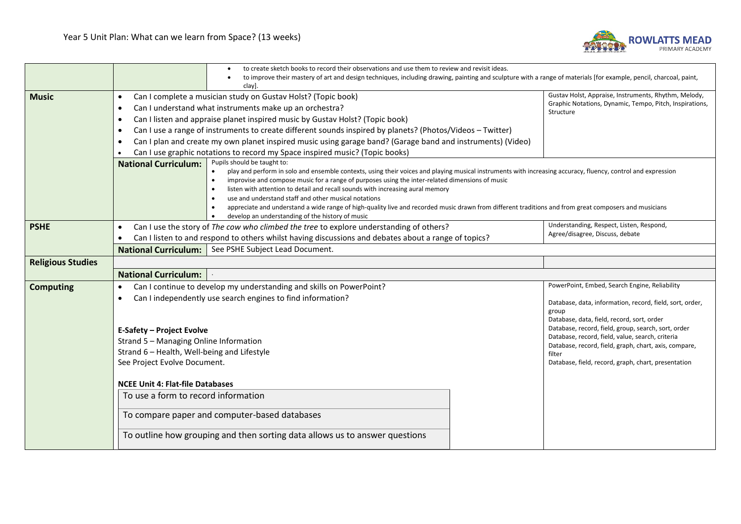

|                          | to create sketch books to record their observations and use them to review and revisit ideas.                                                                                                                                                                                                                                                                                                                                                                                                                                                                                                                                                                                                                                            |                                                                                                                                                                                                                                                                                               |  |
|--------------------------|------------------------------------------------------------------------------------------------------------------------------------------------------------------------------------------------------------------------------------------------------------------------------------------------------------------------------------------------------------------------------------------------------------------------------------------------------------------------------------------------------------------------------------------------------------------------------------------------------------------------------------------------------------------------------------------------------------------------------------------|-----------------------------------------------------------------------------------------------------------------------------------------------------------------------------------------------------------------------------------------------------------------------------------------------|--|
|                          |                                                                                                                                                                                                                                                                                                                                                                                                                                                                                                                                                                                                                                                                                                                                          | to improve their mastery of art and design techniques, including drawing, painting and sculpture with a range of materials [for example, pencil, charcoal, paint,<br>clay].                                                                                                                   |  |
| <b>Music</b>             | Can I complete a musician study on Gustav Holst? (Topic book)<br>$\bullet$                                                                                                                                                                                                                                                                                                                                                                                                                                                                                                                                                                                                                                                               | Gustav Holst, Appraise, Instruments, Rhythm, Melody,                                                                                                                                                                                                                                          |  |
|                          | Can I understand what instruments make up an orchestra?<br>$\bullet$                                                                                                                                                                                                                                                                                                                                                                                                                                                                                                                                                                                                                                                                     | Graphic Notations, Dynamic, Tempo, Pitch, Inspirations,                                                                                                                                                                                                                                       |  |
|                          | Can I listen and appraise planet inspired music by Gustav Holst? (Topic book)<br>$\bullet$                                                                                                                                                                                                                                                                                                                                                                                                                                                                                                                                                                                                                                               | Structure                                                                                                                                                                                                                                                                                     |  |
|                          | Can I use a range of instruments to create different sounds inspired by planets? (Photos/Videos - Twitter)<br>$\bullet$                                                                                                                                                                                                                                                                                                                                                                                                                                                                                                                                                                                                                  |                                                                                                                                                                                                                                                                                               |  |
|                          | Can I plan and create my own planet inspired music using garage band? (Garage band and instruments) (Video)<br>$\bullet$                                                                                                                                                                                                                                                                                                                                                                                                                                                                                                                                                                                                                 |                                                                                                                                                                                                                                                                                               |  |
|                          | Can I use graphic notations to record my Space inspired music? (Topic books)                                                                                                                                                                                                                                                                                                                                                                                                                                                                                                                                                                                                                                                             |                                                                                                                                                                                                                                                                                               |  |
|                          | Pupils should be taught to:<br><b>National Curriculum:</b><br>play and perform in solo and ensemble contexts, using their voices and playing musical instruments with increasing accuracy, fluency, control and expression<br>improvise and compose music for a range of purposes using the inter-related dimensions of music<br>$\bullet$<br>listen with attention to detail and recall sounds with increasing aural memory<br>$\bullet$<br>use and understand staff and other musical notations<br>$\bullet$<br>appreciate and understand a wide range of high-quality live and recorded music drawn from different traditions and from great composers and musicians<br>develop an understanding of the history of music<br>$\bullet$ |                                                                                                                                                                                                                                                                                               |  |
| <b>PSHE</b>              | Can I use the story of The cow who climbed the tree to explore understanding of others?<br>$\bullet$                                                                                                                                                                                                                                                                                                                                                                                                                                                                                                                                                                                                                                     | Understanding, Respect, Listen, Respond,                                                                                                                                                                                                                                                      |  |
|                          | Can I listen to and respond to others whilst having discussions and debates about a range of topics?                                                                                                                                                                                                                                                                                                                                                                                                                                                                                                                                                                                                                                     | Agree/disagree, Discuss, debate                                                                                                                                                                                                                                                               |  |
|                          | See PSHE Subject Lead Document.<br><b>National Curriculum:</b>                                                                                                                                                                                                                                                                                                                                                                                                                                                                                                                                                                                                                                                                           |                                                                                                                                                                                                                                                                                               |  |
| <b>Religious Studies</b> |                                                                                                                                                                                                                                                                                                                                                                                                                                                                                                                                                                                                                                                                                                                                          |                                                                                                                                                                                                                                                                                               |  |
|                          | <b>National Curriculum:</b>                                                                                                                                                                                                                                                                                                                                                                                                                                                                                                                                                                                                                                                                                                              |                                                                                                                                                                                                                                                                                               |  |
| <b>Computing</b>         | Can I continue to develop my understanding and skills on PowerPoint?<br>$\bullet$                                                                                                                                                                                                                                                                                                                                                                                                                                                                                                                                                                                                                                                        | PowerPoint, Embed, Search Engine, Reliability                                                                                                                                                                                                                                                 |  |
|                          | Can I independently use search engines to find information?<br>$\bullet$<br><b>E-Safety - Project Evolve</b>                                                                                                                                                                                                                                                                                                                                                                                                                                                                                                                                                                                                                             | Database, data, information, record, field, sort, order,<br>group<br>Database, data, field, record, sort, order<br>Database, record, field, group, search, sort, order<br>Database, record, field, value, search, criteria<br>Database, record, field, graph, chart, axis, compare,<br>filter |  |
|                          | Strand 5 - Managing Online Information                                                                                                                                                                                                                                                                                                                                                                                                                                                                                                                                                                                                                                                                                                   |                                                                                                                                                                                                                                                                                               |  |
|                          | Strand 6 - Health, Well-being and Lifestyle                                                                                                                                                                                                                                                                                                                                                                                                                                                                                                                                                                                                                                                                                              |                                                                                                                                                                                                                                                                                               |  |
|                          | See Project Evolve Document.                                                                                                                                                                                                                                                                                                                                                                                                                                                                                                                                                                                                                                                                                                             | Database, field, record, graph, chart, presentation                                                                                                                                                                                                                                           |  |
|                          | <b>NCEE Unit 4: Flat-file Databases</b>                                                                                                                                                                                                                                                                                                                                                                                                                                                                                                                                                                                                                                                                                                  |                                                                                                                                                                                                                                                                                               |  |
|                          | To use a form to record information                                                                                                                                                                                                                                                                                                                                                                                                                                                                                                                                                                                                                                                                                                      |                                                                                                                                                                                                                                                                                               |  |
|                          | To compare paper and computer-based databases                                                                                                                                                                                                                                                                                                                                                                                                                                                                                                                                                                                                                                                                                            |                                                                                                                                                                                                                                                                                               |  |
|                          | To outline how grouping and then sorting data allows us to answer questions                                                                                                                                                                                                                                                                                                                                                                                                                                                                                                                                                                                                                                                              |                                                                                                                                                                                                                                                                                               |  |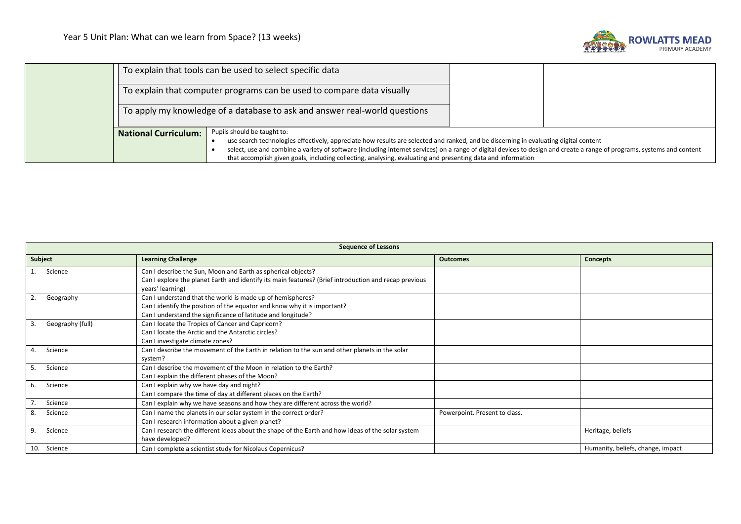

|                             | To explain that tools can be used to select specific data                                                                                                                                                                                                                               |  |
|-----------------------------|-----------------------------------------------------------------------------------------------------------------------------------------------------------------------------------------------------------------------------------------------------------------------------------------|--|
|                             | To explain that computer programs can be used to compare data visually                                                                                                                                                                                                                  |  |
|                             | To apply my knowledge of a database to ask and answer real-world questions                                                                                                                                                                                                              |  |
| <b>National Curriculum:</b> | Pupils should be taught to:                                                                                                                                                                                                                                                             |  |
|                             | use search technologies effectively, appreciate how results are selected and ranked, and be discerning in evaluating digital content                                                                                                                                                    |  |
|                             | select, use and combine a variety of software (including internet services) on a range of digital devices to design and create a range of programs, systems and content<br>that accomplish given goals, including collecting, analysing, evaluating and presenting data and information |  |
|                             |                                                                                                                                                                                                                                                                                         |  |

| <b>Sequence of Lessons</b> |                                                                                                                                                                                                        |                               |                                   |
|----------------------------|--------------------------------------------------------------------------------------------------------------------------------------------------------------------------------------------------------|-------------------------------|-----------------------------------|
| Subject                    | <b>Learning Challenge</b>                                                                                                                                                                              | <b>Outcomes</b>               | <b>Concepts</b>                   |
| Science                    | Can I describe the Sun, Moon and Earth as spherical objects?<br>Can I explore the planet Earth and identify its main features? (Brief introduction and recap previous<br>years' learning)              |                               |                                   |
| 2.<br>Geography            | Can I understand that the world is made up of hemispheres?<br>Can I identify the position of the equator and know why it is important?<br>Can I understand the significance of latitude and longitude? |                               |                                   |
| Geography (full)<br>3.     | Can I locate the Tropics of Cancer and Capricorn?<br>Can I locate the Arctic and the Antarctic circles?<br>Can I investigate climate zones?                                                            |                               |                                   |
| Science<br>4.              | Can I describe the movement of the Earth in relation to the sun and other planets in the solar<br>system?                                                                                              |                               |                                   |
| 5.<br>Science              | Can I describe the movement of the Moon in relation to the Earth?<br>Can I explain the different phases of the Moon?                                                                                   |                               |                                   |
| Science<br>6.              | Can I explain why we have day and night?<br>Can I compare the time of day at different places on the Earth?                                                                                            |                               |                                   |
| 7.<br>Science              | Can I explain why we have seasons and how they are different across the world?                                                                                                                         |                               |                                   |
| 8.<br>Science              | Can I name the planets in our solar system in the correct order?<br>Can I research information about a given planet?                                                                                   | Powerpoint. Present to class. |                                   |
| 9.<br>Science              | Can I research the different ideas about the shape of the Earth and how ideas of the solar system<br>have developed?                                                                                   |                               | Heritage, beliefs                 |
| 10.<br>Science             | Can I complete a scientist study for Nicolaus Copernicus?                                                                                                                                              |                               | Humanity, beliefs, change, impact |